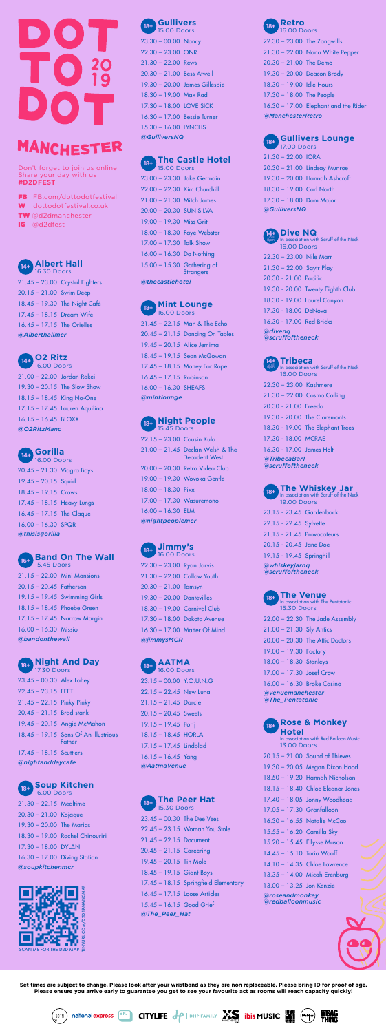

# **MANCHESTER**

Don't forget to join us online! Share your day with us **#D2DFEST**

FB FB.com/dottodotfestival W dottodotfestival.co.uk TW @d2dmanchester IG @d2dfest

# **14+ Albert Hall**

21.45 – 23.00 Crystal Fighters 20.15 – 21.00 Swim Deep 18.45 – 19.30 The Night Café 17.45 – 18.15 Dream Wife 16.45 – 17.15 The Orielles *@Alberthallmcr*

### **O2 Ritz**  16.00 Doors  **14+**

21.00 – 22.00 Jordan Rakei 19.30 – 20.15 The Slow Show 18.15 – 18.45 King No-One 17.15 – 17.45 Lauren Aquilina 16.15 – 16.45 BLOXX *@O2RitzManc*

### **14+ Gorilla**<br>16.00 Doors

20.45 – 21.30 Viagra Boys 19.45 – 20.15 Squid 18.45 – 19.15 Crows 17.45 – 18.15 Heavy Lungs 16.45 – 17.15 The Claque 16.00 – 16.30 SPQR *@thisisgorilla*

### **Band On The Wall**

15.45 Door 21.15 – 22.00 Mini Mansions 20.15 – 20.45 Fatherson 19.15 – 19.45 Swimming Girls 18.15 – 18.45 Phoebe Green 17.15 – 17.45 Narrow Margin 16.00 – 16.30 Missio *@bandonthewall*

### 18<sup>+</sup> Night And Day

23.45 – 00.30 Alex Lahey 22.45 – 23.15 FEET 21.45 – 22.15 Pinky Pinky 20.45 – 21.15 Brad stank 19.45 – 20.15 Angie McMahon 18.45 – 19.15 Sons Of An Illustrious Father 17.45 – 18.15 Scuttlers *@nightanddaycafe*

## 18+ **Soup Kitchen**

21.30 – 22.15 Mealtime 20.30 – 21.00 Kojaque 19.30 – 20.00 The Marias 18.30 – 19.00 Rachel Chinouriri 17.30 – 18.00 DYL∆N 16.30 – 17.00 Diving Station *@soupkitchenmcr*



#### **Gullivers** 15.00 Doors **18+**

23.30 – 00.00 Nancy 22.30 – 23.00 ONR 21.30 – 22.00 Rews 20.30 – 21.00 Bess Atwell 19.30 – 20.00 James Gillespie 18.30 – 19.00 Max Rad 17.30 – 18.00 LOVE SICK 16.30 – 17.00 Bessie Turner 15.30 – 16.00 LYNCHS *@GulliversNQ*

### **R<sup>E</sup>** 15.00 Doors

23.00 – 23.30 Jake Germain 22.00 – 22.30 Kim Churchill 21.00 – 21.30 Mitch James 20.00 – 20.30 SUN SILVA 19.00 – 19.30 Miss Grit 18.00 – 18.30 Faye Webster 17.00 – 17.30 Talk Show 16.00 – 16.30 Do Nothing 15.00 – 15.30 Gathering of Strangers

*@thecastlehotel*

### **18+** Mint Lounge

21.45 – 22.15 Man & The Echo 20.45 – 21.15 Dancing On Tables 19.45 – 20.15 Alice Jemima 18.45 – 19.15 Sean McGowan 17.45 – 18.15 Money For Rope 16.45 – 17.15 Robinson 16.00 – 16.30 SHEAFS *@mintlounge*

### 18<sup>+</sup> Night People

22.15 – 23.00 Cousin Kula 21.00 – 21.45 Declan Welsh & The Decadent West 20.00 – 20.30 Retro Video Club 19.00 – 19.30 Wovoka Gentle 18.00 – 18.30 Pixx 17.00 – 17.30 Wasuremono 16.00 – 16.30 ELM *@nightpeoplemcr*



22.30 – 23.00 Ryan Jarvis 21.30 – 22.00 Callow Youth 20.30 – 21.00 Tamsyn 19.30 – 20.00 Dantevilles 18.30 – 19.00 Carnival Club 17.30 – 18.00 Dakota Avenue 16.30 – 17.00 Matter Of Mind *@jimmysMCR*

### **AATMA** 16.00 Doors **18+**

23.15 – 00.00 Y.O.U.N.G 22.15 – 22.45 New Luna 21.15 – 21.45 Darcie 20.15 – 20.45 Sweets 19.15 – 19.45 Porij 18.15 – 18.45 HORLA 17.15 – 17.45 Lindblad 16.15 – 16.45 Yang *@AatmaVenue*

### 18+ The Peer Hat

23.45 – 00.30 The Dee Vees 22.45 – 23.15 Woman You Stole 21.45 – 22.15 Document 20.45 – 21.15 Careering 19.45 – 20.15 Tin Mole 18.45 – 19.15 Giant Boys 17.45 – 18.15 Springfield Elementary 16.45 – 17.15 Loose Articles 15.45 – 16.15 Good Grief *@The\_Peer\_Hat*

### **Retro** 16.00 Doors **18+**

22.30 – 23.00 The Zangwills 21.30 – 22.00 Nana White Pepper 20.30 – 21.00 The Demo 19.30 – 20.00 Deacon Brody 18.30 – 19.00 Idle Hours 17.30 – 18.00 The People 16.30 – 17.00 Elephant and the Rider *@ManchesterRetro*

### **Gullivers Lounge 18+**

| $\sqrt{1700}$ Doors        |                                 |
|----------------------------|---------------------------------|
| $21.30 - 22.00$ IORA       |                                 |
|                            | $20.30 - 21.00$ Lindsay Munroe  |
|                            | $19.30 - 20.00$ Hannah Ashcroft |
| $18.30 - 19.00$ Carl North |                                 |
| $17.30 - 18.00$ Dom Major  |                                 |
| @GulliversNQ               |                                 |

**Dive NQ**<br>**E** and In association with Scruff of the Neck 16.00 Doors 22.30 – 23.00 Nile Marr 21.30 – 22.00 Saytr Play 20.30 - 21.00 Pacific 19.30 - 20.00 Twenty Eighth Club 18.30 - 19.00 Laurel Canyon 17.30 - 18.00 DeNova 16.30 - 17.00 Red Bricks *@divenq @scruffoftheneck*

**Tribeca**<br>**Example 1** In association with Scruff of the Neck 16.00 Doors 22.30 – 23.00 Kashmere 21.30 – 22.00 Cosmo Calling 20.30 - 21.00 Freeda 19.30 - 20.00 The Claremonts 18.30 - 19.00 The Elephant Trees 17.30 - 18.00 MCRAE 16.30 - 17.00 James Holt *@TribecaBar1 @scruffoftheneck*

### 18+ The Whiskey Jar<br>In association with Scruff of the Neck

19.00 Doors 23.15 - 23.45 Gardenback 22.15 - 22.45 Sylvette 21.15 - 21.45 Provocateurs 20.15 - 20.45 Jane Doe 19.15 - 19.45 Springhill *@whiskeyjarnq @scruffoftheneck*

### **The Venue**<br>In association with The Pentatonic

| 15.30 Doors                         |                                   |
|-------------------------------------|-----------------------------------|
|                                     | 22.00 - 22.30 The Jade Assembly   |
| $21.00 - 21.30$ Sly Antics          |                                   |
|                                     | $20.00 - 20.30$ The Attic Doctors |
| $19.00 - 19.30$ Factory             |                                   |
| 18.00 - 18.30 Stanleys              |                                   |
| 17.00 - 17.30 Josef Crow            |                                   |
| 16.00 - 16.30 Broke Casino          |                                   |
| @venuemanchester<br>@The Pentatonic |                                   |

### **Rose & Monkey 18+**

| Hotel<br>In association with Red Balloon Music<br>13.00 Doors |                                   |  |
|---------------------------------------------------------------|-----------------------------------|--|
|                                                               |                                   |  |
|                                                               | $20.15 - 21.00$ Sound of Thieves  |  |
|                                                               | 19.30 - 20.05 Megan Dixon Hood    |  |
|                                                               | 18.50 - 19.20 Hannah Nicholson    |  |
|                                                               | 18.15 - 18.40 Chloe Eleanor Jones |  |
|                                                               | 17.40 - 18.05 Jonny Woodhead      |  |
| 17.05 – 17.30 Granfalloon                                     |                                   |  |
|                                                               | 16.30 - 16.55 Natalie McCool      |  |
| 15.55 - 16.20 Camilla Sky                                     |                                   |  |
| 15.20 - 15.45 Ellysse Mason                                   |                                   |  |
| 14.45 - 15.10 Toria Wooff                                     | ś                                 |  |
|                                                               | 14.10 - 14.35 Chloe Lawrence<br>¥ |  |
|                                                               | 13.35 - 14.00 Micah Erenburg<br>í |  |
| 13.00 - 13.25 Jon Kenzie                                      | ĥ                                 |  |
| @roseandmonkey<br>@redballoonmusic                            |                                   |  |

Set times are subject to change. Please look after your wristband as they are non replaceable. Please bring ID for proof of age.<br>Please ensure you arrive early to guarantee you get to see your favourite act as rooms will r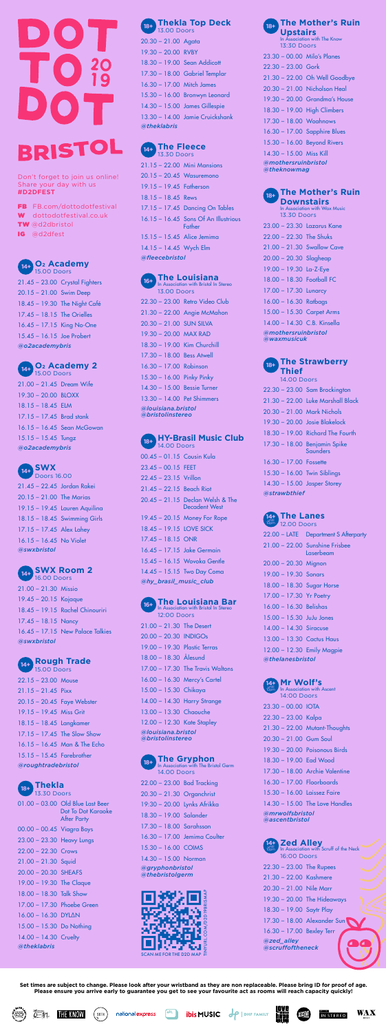

Don't forget to join us online! share your at **#D2DFEST**

FB FB.com/dottodotfestival W dottodotfestival.co.uk TW @d2dbristol IG @d2dfest

### **14+ O<sub>2</sub> Academy**

21.45 – 23.00 Crystal Fighters 20.15 – 21.00 Swim Deep 18.45 – 19.30 The Night Café 17.45 – 18.15 The Orielles 16.45 – 17.15 King No-One 15.45 – 16.15 Joe Probert *@o2academybris*

# **14+ O<sub>2</sub> Academy 2**

21.00 – 21.45 Dream Wife 19.30 – 20.00 BLOXX 18.15 – 18.45 ELM 17.15 – 17.45 Brad stank 16.15 – 16.45 Sean McGowan 15.15 – 15.45 Tungz *@o2academybris*

# **SWX** Doors 16.00

21.45 – 22.45 Jordan Rakei 20.15 – 21.00 The Marias 19.15 – 19.45 Lauren Aquilina 18.15 – 18.45 Swimming Girls 17.15 – 17.45 Alex Lahey 16.15 – 16.45 No Violet *@swxbristol*

### **14+ SWX Room 2**<br>16.00 Doors

21.00 – 21.30 Missio 19.45 – 20.15 Kojaque 18.45 – 19.15 Rachel Chinouriri 17.45 – 18.15 Nancy 16.45 – 17.15 New Palace Talkies *@swxbristol*

# 14+ **Rough Trade**

22.15 – 23.00 Mouse 21.15 – 21.45 Pixx 20.15 – 20.45 Faye Webster 19.15 – 19.45 Miss Grit 18.15 – 18.45 Langkamer 17.15 – 17.45 The Slow Show 16.15 – 16.45 Man & The Echo 15.15 – 15.45 Farebrother *@roughtradebristol*

### 18+ Thekla<br>
13.30 Doors

| בוטטע טענים                 |                                                                                       |
|-----------------------------|---------------------------------------------------------------------------------------|
|                             | $01.00 - 03.00$ Old Blue Last Beer<br><b>Dot To Dot Karaoke</b><br><b>After Party</b> |
| 00.00 - 00.45 Viagra Boys   |                                                                                       |
| $23.00 - 23.30$ Heavy Lungs |                                                                                       |
| $22.00 - 22.30$ Crows       |                                                                                       |
| $21.00 - 21.30$ Squid       |                                                                                       |
| $20.00 - 20.30$ SHEAFS      |                                                                                       |
| $19.00 - 19.30$ The Claque  |                                                                                       |
| 18.00 - 18.30 Talk Show     |                                                                                       |
| 17.00 - 17.30 Phoebe Green  |                                                                                       |
| $16.00 - 16.30$ DYLAN       |                                                                                       |
| 15.00 - 15.30 Do Nothing    |                                                                                       |
| 14.00 - 14.30 Cruelty       |                                                                                       |
| @theklabris                 |                                                                                       |

#### **Thekla Top Deck 18+** 13.00 Doors

| $20.30 - 21.00$ Agata       |                                 |
|-----------------------------|---------------------------------|
| $19.30 - 20.00$ RVBY        |                                 |
| 18.30 - 19.00 Sean Addicott |                                 |
|                             | 17.30 - 18.00 Gabriel Templar   |
| $16.30 - 17.00$ Mitch James |                                 |
|                             | 15.30 - 16.00 Bronwyn Leonard   |
|                             | 14.30 - 15.00 James Gillespie   |
|                             | 13.30 - 14.00 Jamie Cruickshank |
| @theklabris                 |                                 |
|                             |                                 |

### **14+ The Fleece**

21.15 – 22.00 Mini Mansions 20.15 – 20.45 Wasuremono 19.15 – 19.45 Fatherson 18.15 – 18.45 Rews 17.15 – 17.45 Dancing On Tables 16.15 – 16.45 Sons Of An Illustrious **Father** 15.15 – 15.45 Alice Jemima 14.15 – 14.45 Wych Elm *@fleecebristol* 

### 16+ The Louisiana<br>
In Association with Bristol In Stereo In Association with<br>13.00 Doors

|                                        | 22.30 - 23.00 Retro Video Club |
|----------------------------------------|--------------------------------|
|                                        | 21.30 - 22.00 Angie McMahon    |
| 20.30 - 21.00 SUN SILVA                |                                |
| 19.30 - 20.00 MAX RAD                  |                                |
| 18.30 - 19.00 Kim Churchill            |                                |
| 17.30 - 18.00 Bess Atwell              |                                |
| 16.30 - 17.00 Robinson                 |                                |
| 15.30 - 16.00 Pinky Pinky              |                                |
| 14.30 - 15.00 Bessie Turner            |                                |
| 13.30 - 14.00 Pet Shimmers             |                                |
| @louisiana.bristol<br>@bristolinstereo |                                |

### **HY-Brasil Music Club 18+**

| $14.00$ Doors                |                                                     |
|------------------------------|-----------------------------------------------------|
| 00.45 - 01.15 Cousin Kula    |                                                     |
| $23.45 - 00.15$ FEET         |                                                     |
| $22.45 - 23.15$ Vrillon      |                                                     |
| $21.45 - 22.15$ Beach Riot   |                                                     |
|                              | $20.45 - 21.15$ Declan Welsh & The<br>Decadent West |
|                              | 19.45 - 20.15 Money For Rope                        |
| 18.45 - 19.15 LOVE SICK      |                                                     |
| $17.45 - 18.15$ ONR          |                                                     |
| 16.45 - 17.15 Jake Germain   |                                                     |
|                              | 15.45 - 16.15 Wovoka Gentle                         |
| $14.45 - 15.15$ Two Day Coma |                                                     |
| @hy_brasil_music_club        |                                                     |

| The Louisiana Bar<br>In Association with Bristol In Stereo<br>$\left(16+\right)$ |
|----------------------------------------------------------------------------------|
| $12:00$ Doors                                                                    |
| $21.00 - 21.30$ The Desert                                                       |
| $20.00 - 20.30$ INDIGOs                                                          |

|                                        |  | 19.00 - 19.30 Plastic Terras       |
|----------------------------------------|--|------------------------------------|
|                                        |  | 18.00 - 18.30 Ålesund              |
|                                        |  | $17.00 - 17.30$ The Travis Waltons |
|                                        |  | 16.00 - 16.30 Mercy's Cartel       |
|                                        |  | 15.00 - 15.30 Chikaya              |
|                                        |  | 14.00 - 14.30 Harry Strange        |
|                                        |  | $13.00 - 13.30$ Chaouche           |
|                                        |  | 12.00 - 12.30 Kate Stapley         |
| @louisiana.bristol<br>@bristolinstereo |  |                                    |
|                                        |  |                                    |

#### **The Gryphon** In Association with The Bristol Germ 14.00 Doors **18+**

22.00 – 23.00 Bad Tracking 20.30 – 21.30 Organchrist 19:30 – 20.00 Lynks Afrikka 18.30 – 19.00 Salander  $17.30 - 18.00$  Sarahss 16.30 – 17.00 Jemima Coulter 15.30 – 16.00 COIMS 14.30 – 15.00 Norman *@gryphonbristol @thebristolgerm*



### **The Mother's Ruin Upstairs** In Association with The Know 13:30 Doors 23.30 – 00.00 Milo's Planes 22.30 – 23.00 Gork 21.30 – 22.00 Oh Well Goodbye 20.30 – 21.00 Nicholson Heal 19.30 – 20.00 Grandma's House 18.30 – 19.00 High Climbers 17.30 – 18.00 Woahnows 16.30 – 17.00 Sapphire Blues 15.30 – 16.00 Beyond Rivers 14.30 – 15.00 Miss Kill **18+**

*@mothersruinbristol @theknowmag*

| $18+$                              | <b>The Mother's Ruin</b>      |
|------------------------------------|-------------------------------|
| <b>Downstairs</b>                  | In Association with Wax Music |
| 13.30 Doors                        |                               |
| 23.00 - 23.30 Lazarus Kane         |                               |
| $22.00 - 22.30$ The Shuks          |                               |
| $21.00 - 21.30$ Swallow Cave       |                               |
| $20.00 - 20.30$ Slagheap           |                               |
| 19.00 - 19.30 La-Z-Eye             |                               |
| 18.00 - 18.30 Football FC          |                               |
| $17.00 - 17.30$ Lunarcy            |                               |
| $16.00 - 16.30$ Ratbags            |                               |
| 15.00 - 15.30 Carpet Arms          |                               |
| 14.00 - 14.30 C.B. Kinsella        |                               |
| @mothersruinbristol<br>@waxmusicuk |                               |

### **The Strawberry 18+**<br>Thief

| <b>14.00 Doors</b>            |                                          |
|-------------------------------|------------------------------------------|
|                               | $22.30 - 23.00$ Sam Brockington          |
|                               | 21.30 – 22.00 Luke Marshall Black        |
| 20.30 – 21.00 Mark Nichols    |                                          |
|                               | 19.30 - 20.00 Josie Blakelock            |
|                               | 18.30 - 19.00 Richard The Fourth         |
|                               | 17.30 - 18.00 Benjamin Spike<br>Saunders |
| $16.30 - 17.00$ Fossette      |                                          |
| $15.30 - 16.00$ Twin Siblings |                                          |
| 14.30 - 15.00 Jasper Storey   |                                          |
| @strawbthief                  |                                          |

#### **The Lanes** 10pm

| $10pm$ 12.00 Doors         |                                               |  |
|----------------------------|-----------------------------------------------|--|
|                            | 22.00 - LATE Department S Afterparty          |  |
|                            | $21.00 - 22.00$ Sunshine Frisbee<br>Laserbeam |  |
| $20.00 - 20.30$ Mignon     |                                               |  |
| $19.00 - 19.30$ Sonars     |                                               |  |
| 18.00 - 18.30 Sugar Horse  |                                               |  |
| 17.00 - 17.30 Yr Poetry    |                                               |  |
| $16.00 - 16.30$ Belishas   |                                               |  |
| $15.00 - 15.30$ JuJu Jones |                                               |  |
| $14.00 - 14.30$ Siracuse   |                                               |  |
| 13.00 - 13.30 Cactus Haus  |                                               |  |
| 12.00 - 12.30 Emily Magpie |                                               |  |
| @thelanesbristol           |                                               |  |

### **Mr Wolf's**<br>**14:1** In Association with Ascent

14:00 Doors 23.30 – 00.00 IOTA 22.30 – 23.00 Kalpa 21.30 – 22.00 Mutant-Thoughts 20.30 – 21.00 Gum Soul 19.30 – 20.00 Poisonous Birds 18.30 – 19.00 Ead Wood 17.30 – 18.00 Archie Valentine 16.30 – 17.00 Floorboards 15.30 – 16.00 Laissez Faire 14.30 – 15.00 The Love Handles *@mrwolfsbristol @ascentbristol*

| <b>Zed Alley</b><br>In Association with Scruff of the Neck<br><b>16:00 Doors</b> |  |
|----------------------------------------------------------------------------------|--|
| $22.30 - 23.00$ The Rupees                                                       |  |
| 21.30 - 22.00 Kashmere                                                           |  |
| 20.30 - 21.00 Nile Marr                                                          |  |
| 19.30 - 20.00 The Hideaways                                                      |  |
| 18.30 - 19.00 Saytr Play                                                         |  |
| 17.30 - 18.00 Alexander Sun                                                      |  |
| 16.30 - 17.00 Bexley Terr                                                        |  |
| @zed alley<br>@scruffoftheneck                                                   |  |

**Love**<br>hate

**ASULLED** 

**IN STEREO** 

**WAX** 

Set times are subject to change. Please look after your wristband as they are non replaceable. Please bring ID for proof of age.<br>Please ensure you arrive early to guarantee you get to see your favourite act as rooms will r

national express at a bis MUSIC of I DHP FAMILY